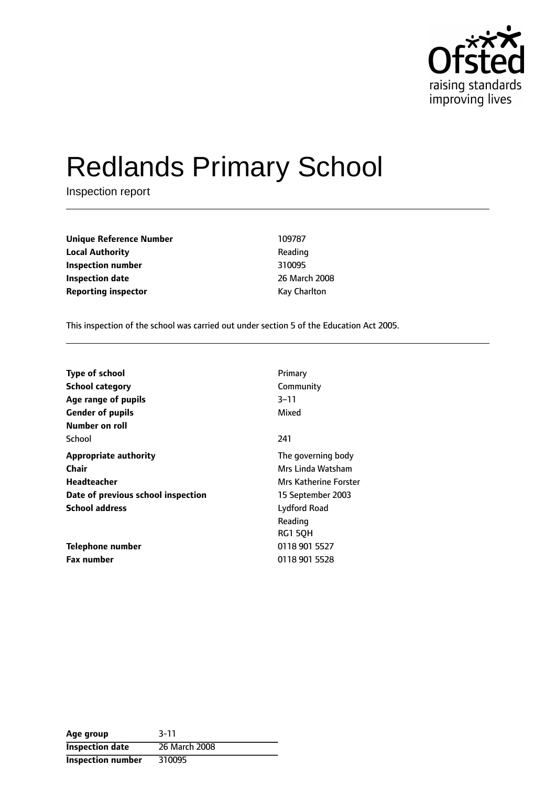

# Redlands Primary School

Inspection report

| <b>Unique Reference Number</b> | 109787       |
|--------------------------------|--------------|
| <b>Local Authority</b>         | Reading      |
| Inspection number              | 310095       |
| <b>Inspection date</b>         | 26 March 200 |
| <b>Reporting inspector</b>     | Kay Charlton |

**Reading Inspection number** 310095 **Inspection date** 26 March 2008

This inspection of the school was carried out under section 5 of the Education Act 2005.

| Type of school<br><b>School category</b> | Primary<br>Community  |
|------------------------------------------|-----------------------|
| Age range of pupils                      | $3 - 11$              |
| <b>Gender of pupils</b>                  | Mixed                 |
| Number on roll                           |                       |
| School                                   | 241                   |
| <b>Appropriate authority</b>             | The governing body    |
| Chair                                    | Mrs Linda Watsham     |
| Headteacher                              | Mrs Katherine Forster |
| Date of previous school inspection       | 15 September 2003     |
| <b>School address</b>                    | Lydford Road          |
|                                          | Reading               |
|                                          | RG1 5QH               |
| Telephone number                         | 0118 901 5527         |
| <b>Fax number</b>                        | 0118 901 5528         |

| Age group                | $3 - 11$      |
|--------------------------|---------------|
| <b>Inspection date</b>   | 26 March 2008 |
| <b>Inspection number</b> | 310095        |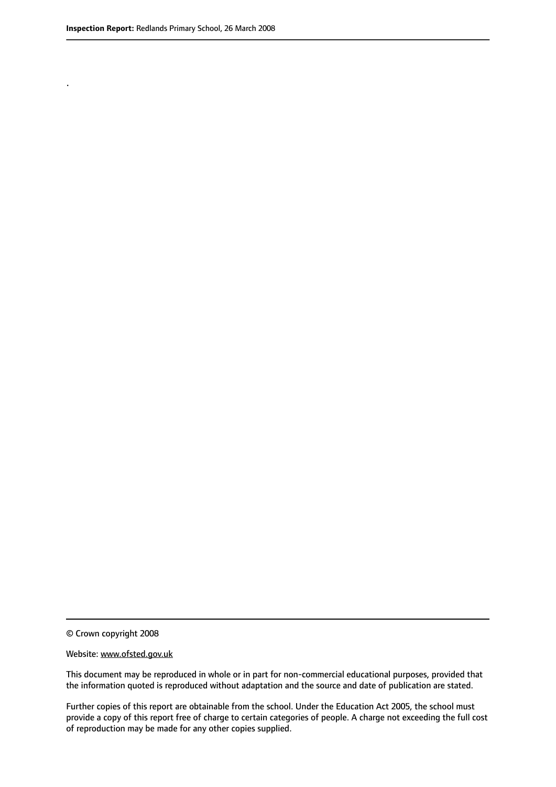.

© Crown copyright 2008

#### Website: www.ofsted.gov.uk

This document may be reproduced in whole or in part for non-commercial educational purposes, provided that the information quoted is reproduced without adaptation and the source and date of publication are stated.

Further copies of this report are obtainable from the school. Under the Education Act 2005, the school must provide a copy of this report free of charge to certain categories of people. A charge not exceeding the full cost of reproduction may be made for any other copies supplied.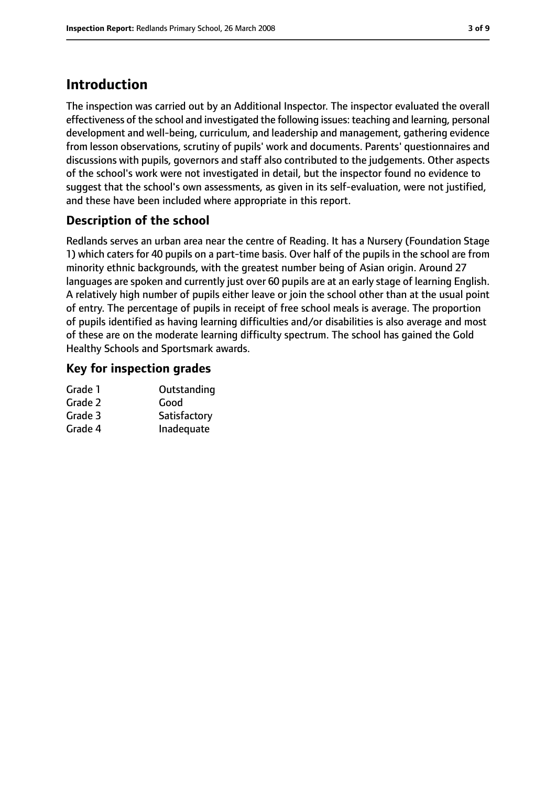# **Introduction**

The inspection was carried out by an Additional Inspector. The inspector evaluated the overall effectiveness of the school and investigated the following issues: teaching and learning, personal development and well-being, curriculum, and leadership and management, gathering evidence from lesson observations, scrutiny of pupils' work and documents. Parents' questionnaires and discussions with pupils, governors and staff also contributed to the judgements. Other aspects of the school's work were not investigated in detail, but the inspector found no evidence to suggest that the school's own assessments, as given in its self-evaluation, were not justified, and these have been included where appropriate in this report.

## **Description of the school**

Redlands serves an urban area near the centre of Reading. It has a Nursery (Foundation Stage 1) which caters for 40 pupils on a part-time basis. Over half of the pupils in the school are from minority ethnic backgrounds, with the greatest number being of Asian origin. Around 27 languages are spoken and currently just over 60 pupils are at an early stage of learning English. A relatively high number of pupils either leave or join the school other than at the usual point of entry. The percentage of pupils in receipt of free school meals is average. The proportion of pupils identified as having learning difficulties and/or disabilities is also average and most of these are on the moderate learning difficulty spectrum. The school has gained the Gold Healthy Schools and Sportsmark awards.

## **Key for inspection grades**

| Outstanding  |
|--------------|
| Good         |
| Satisfactory |
| Inadequate   |
|              |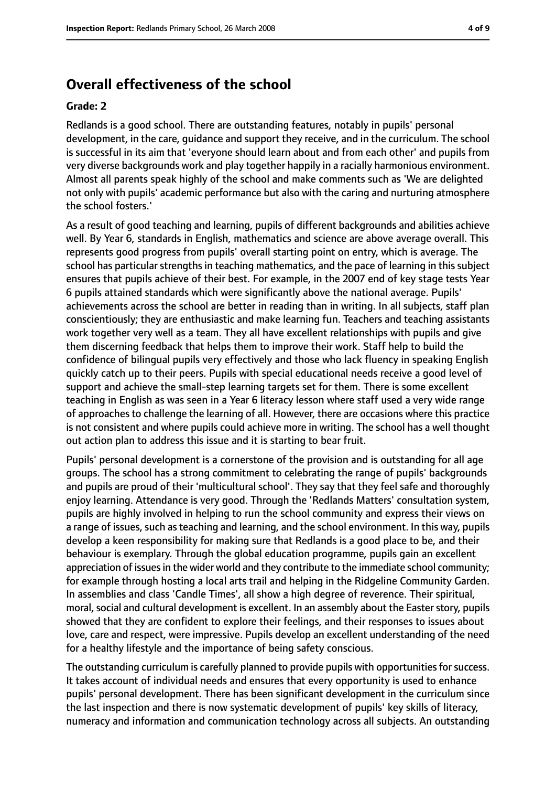## **Overall effectiveness of the school**

#### **Grade: 2**

Redlands is a good school. There are outstanding features, notably in pupils' personal development, in the care, guidance and support they receive, and in the curriculum. The school is successful in its aim that 'everyone should learn about and from each other' and pupils from very diverse backgrounds work and play together happily in a racially harmonious environment. Almost all parents speak highly of the school and make comments such as 'We are delighted not only with pupils' academic performance but also with the caring and nurturing atmosphere the school fosters.'

As a result of good teaching and learning, pupils of different backgrounds and abilities achieve well. By Year 6, standards in English, mathematics and science are above average overall. This represents good progress from pupils' overall starting point on entry, which is average. The school has particular strengths in teaching mathematics, and the pace of learning in this subject ensures that pupils achieve of their best. For example, in the 2007 end of key stage tests Year 6 pupils attained standards which were significantly above the national average. Pupils' achievements across the school are better in reading than in writing. In all subjects, staff plan conscientiously; they are enthusiastic and make learning fun. Teachers and teaching assistants work together very well as a team. They all have excellent relationships with pupils and give them discerning feedback that helps them to improve their work. Staff help to build the confidence of bilingual pupils very effectively and those who lack fluency in speaking English quickly catch up to their peers. Pupils with special educational needs receive a good level of support and achieve the small-step learning targets set for them. There is some excellent teaching in English as was seen in a Year 6 literacy lesson where staff used a very wide range of approaches to challenge the learning of all. However, there are occasions where this practice is not consistent and where pupils could achieve more in writing. The school has a well thought out action plan to address this issue and it is starting to bear fruit.

Pupils' personal development is a cornerstone of the provision and is outstanding for all age groups. The school has a strong commitment to celebrating the range of pupils' backgrounds and pupils are proud of their 'multicultural school'. They say that they feel safe and thoroughly enjoy learning. Attendance is very good. Through the 'Redlands Matters' consultation system, pupils are highly involved in helping to run the school community and express their views on a range of issues, such as teaching and learning, and the school environment. In this way, pupils develop a keen responsibility for making sure that Redlands is a good place to be, and their behaviour is exemplary. Through the global education programme, pupils gain an excellent appreciation of issues in the wider world and they contribute to the immediate school community; for example through hosting a local arts trail and helping in the Ridgeline Community Garden. In assemblies and class 'Candle Times', all show a high degree of reverence. Their spiritual, moral, social and cultural development is excellent. In an assembly about the Easter story, pupils showed that they are confident to explore their feelings, and their responses to issues about love, care and respect, were impressive. Pupils develop an excellent understanding of the need for a healthy lifestyle and the importance of being safety conscious.

The outstanding curriculum is carefully planned to provide pupils with opportunities for success. It takes account of individual needs and ensures that every opportunity is used to enhance pupils' personal development. There has been significant development in the curriculum since the last inspection and there is now systematic development of pupils' key skills of literacy, numeracy and information and communication technology across all subjects. An outstanding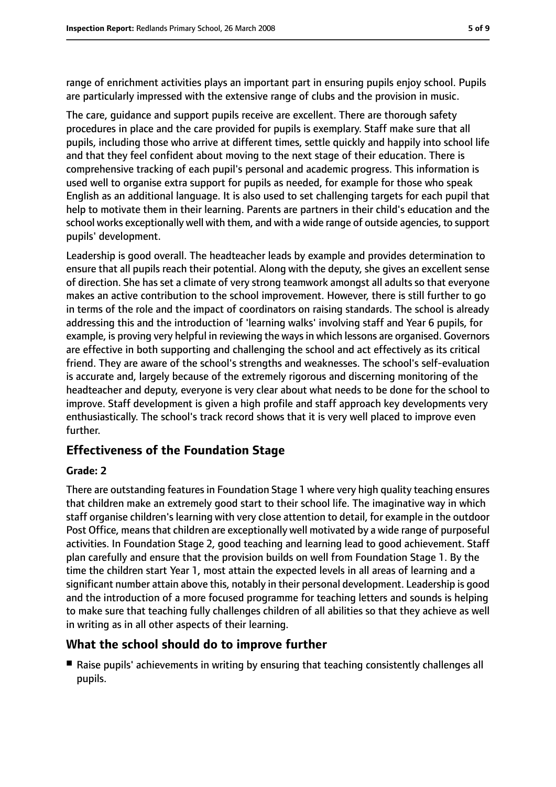range of enrichment activities plays an important part in ensuring pupils enjoy school. Pupils are particularly impressed with the extensive range of clubs and the provision in music.

The care, guidance and support pupils receive are excellent. There are thorough safety procedures in place and the care provided for pupils is exemplary. Staff make sure that all pupils, including those who arrive at different times, settle quickly and happily into school life and that they feel confident about moving to the next stage of their education. There is comprehensive tracking of each pupil's personal and academic progress. This information is used well to organise extra support for pupils as needed, for example for those who speak English as an additional language. It is also used to set challenging targets for each pupil that help to motivate them in their learning. Parents are partners in their child's education and the school works exceptionally well with them, and with a wide range of outside agencies, to support pupils' development.

Leadership is good overall. The headteacher leads by example and provides determination to ensure that all pupils reach their potential. Along with the deputy, she gives an excellent sense of direction. She has set a climate of very strong teamwork amongst all adults so that everyone makes an active contribution to the school improvement. However, there is still further to go in terms of the role and the impact of coordinators on raising standards. The school is already addressing this and the introduction of 'learning walks' involving staff and Year 6 pupils, for example, is proving very helpful in reviewing the ways in which lessons are organised. Governors are effective in both supporting and challenging the school and act effectively as its critical friend. They are aware of the school's strengths and weaknesses. The school's self-evaluation is accurate and, largely because of the extremely rigorous and discerning monitoring of the headteacher and deputy, everyone is very clear about what needs to be done for the school to improve. Staff development is given a high profile and staff approach key developments very enthusiastically. The school's track record shows that it is very well placed to improve even further.

## **Effectiveness of the Foundation Stage**

#### **Grade: 2**

There are outstanding features in Foundation Stage 1 where very high quality teaching ensures that children make an extremely good start to their school life. The imaginative way in which staff organise children's learning with very close attention to detail, for example in the outdoor Post Office, means that children are exceptionally well motivated by a wide range of purposeful activities. In Foundation Stage 2, good teaching and learning lead to good achievement. Staff plan carefully and ensure that the provision builds on well from Foundation Stage 1. By the time the children start Year 1, most attain the expected levels in all areas of learning and a significant number attain above this, notably in their personal development. Leadership is good and the introduction of a more focused programme for teaching letters and sounds is helping to make sure that teaching fully challenges children of all abilities so that they achieve as well in writing as in all other aspects of their learning.

## **What the school should do to improve further**

■ Raise pupils' achievements in writing by ensuring that teaching consistently challenges all pupils.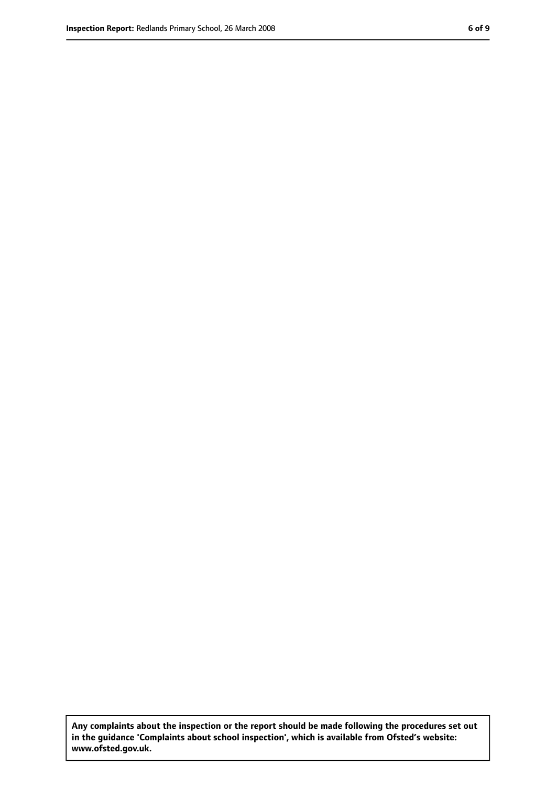**Any complaints about the inspection or the report should be made following the procedures set out in the guidance 'Complaints about school inspection', which is available from Ofsted's website: www.ofsted.gov.uk.**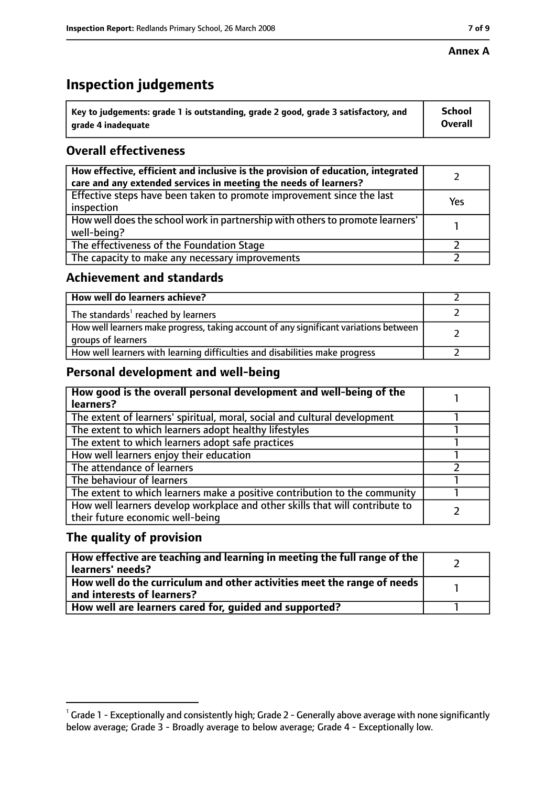#### **Annex A**

# **Inspection judgements**

| $^{\circ}$ Key to judgements: grade 1 is outstanding, grade 2 good, grade 3 satisfactory, and | <b>School</b>  |
|-----------------------------------------------------------------------------------------------|----------------|
| arade 4 inadequate                                                                            | <b>Overall</b> |

## **Overall effectiveness**

| How effective, efficient and inclusive is the provision of education, integrated<br>care and any extended services in meeting the needs of learners? |     |
|------------------------------------------------------------------------------------------------------------------------------------------------------|-----|
| Effective steps have been taken to promote improvement since the last<br>inspection                                                                  | Yes |
| How well does the school work in partnership with others to promote learners'<br>well-being?                                                         |     |
| The effectiveness of the Foundation Stage                                                                                                            |     |
| The capacity to make any necessary improvements                                                                                                      |     |

## **Achievement and standards**

| How well do learners achieve?                                                                               |  |
|-------------------------------------------------------------------------------------------------------------|--|
| The standards <sup>1</sup> reached by learners                                                              |  |
| How well learners make progress, taking account of any significant variations between<br>groups of learners |  |
| How well learners with learning difficulties and disabilities make progress                                 |  |

## **Personal development and well-being**

| How good is the overall personal development and well-being of the<br>learners?                                  |  |
|------------------------------------------------------------------------------------------------------------------|--|
| The extent of learners' spiritual, moral, social and cultural development                                        |  |
| The extent to which learners adopt healthy lifestyles                                                            |  |
| The extent to which learners adopt safe practices                                                                |  |
| How well learners enjoy their education                                                                          |  |
| The attendance of learners                                                                                       |  |
| The behaviour of learners                                                                                        |  |
| The extent to which learners make a positive contribution to the community                                       |  |
| How well learners develop workplace and other skills that will contribute to<br>their future economic well-being |  |

## **The quality of provision**

| How effective are teaching and learning in meeting the full range of the<br>learners' needs?          |  |
|-------------------------------------------------------------------------------------------------------|--|
| How well do the curriculum and other activities meet the range of needs<br>and interests of learners? |  |
| How well are learners cared for, quided and supported?                                                |  |

 $^1$  Grade 1 - Exceptionally and consistently high; Grade 2 - Generally above average with none significantly below average; Grade 3 - Broadly average to below average; Grade 4 - Exceptionally low.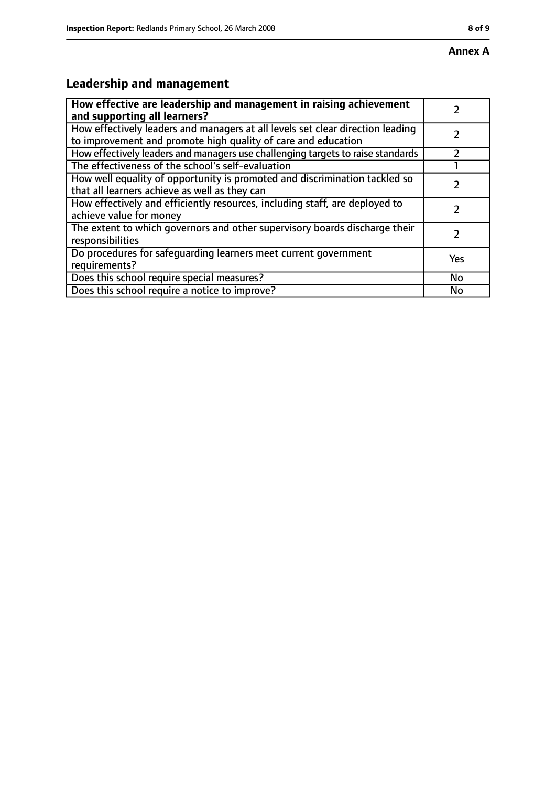# **Leadership and management**

| How effective are leadership and management in raising achievement<br>and supporting all learners?                                              |     |
|-------------------------------------------------------------------------------------------------------------------------------------------------|-----|
| How effectively leaders and managers at all levels set clear direction leading<br>to improvement and promote high quality of care and education |     |
| How effectively leaders and managers use challenging targets to raise standards                                                                 |     |
| The effectiveness of the school's self-evaluation                                                                                               |     |
| How well equality of opportunity is promoted and discrimination tackled so<br>that all learners achieve as well as they can                     |     |
| How effectively and efficiently resources, including staff, are deployed to<br>achieve value for money                                          |     |
| The extent to which governors and other supervisory boards discharge their<br>responsibilities                                                  |     |
| Do procedures for safequarding learners meet current government<br>requirements?                                                                | Yes |
| Does this school require special measures?                                                                                                      | No  |
| Does this school require a notice to improve?                                                                                                   | No  |